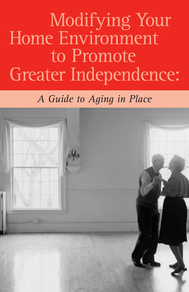# Modifying Your Home Environment to Promote Greater Independence:

## *A Guide to Aging in Place*

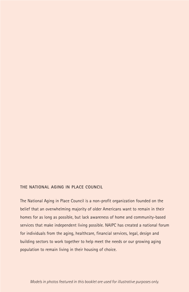#### **THE NATIONAL AGING IN PLACE COUNCIL**

The National Aging in Place Council is a non-profit organization founded on the belief that an overwhelming majority of older Americans want to remain in their homes for as long as possible, but lack awareness of home and community-based services that make independent living possible. NAIPC has created a national forum for individuals from the aging, healthcare, financial services, legal, design and building sectors to work together to help meet the needs or our growing aging population to remain living in their housing of choice.

*Models in photos featured in this booklet are used for illustrative purposes only.*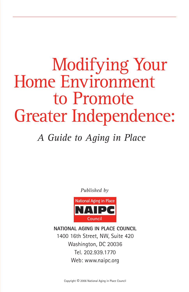## Modifying Your Home Environment to Promote Greater Independence:

## *A Guide to Aging in Place*

*Published by*



**NATIONAL AGING IN PLACE COUNCIL** 1400 16th Street, NW, Suite 420 Washington, DC 20036 Tel. 202.939.1770 Web: www.naipc.org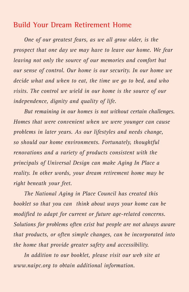### **Build Your Dream Retirement Home**

*One of our greatest fears, as we all grow older, is the prospect that one day we may have to leave our home. We fear leaving not only the source of our memories and comfort but our sense of control. Our home is our security. In our home we decide what and when to eat, the time we go to bed, and who visits. The control we wield in our home is the source of our independence, dignity and quality of life.* 

*But remaining in our homes is not without certain challenges. Homes that were convenient when we were younger can cause problems in later years. As our lifestyles and needs change, so should our home environments. Fortunately, thoughtful renovations and a variety of products consistent with the principals of Universal Design can make Aging In Place a reality. In other words, your dream retirement home may be right beneath your feet.*

*The National Aging in Place Council has created this booklet so that you can think about ways your home can be modified to adapt for current or future age-related concerns. Solutions for problems often exist but people are not always aware that products, or often simple changes, can be incorporated into the home that provide greater safety and accessibility.* 

*In addition to our booklet, please visit our web site at www.naipc.org to obtain additional information.*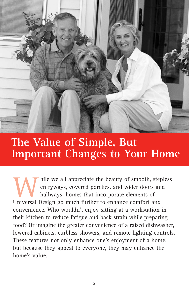

## **The Value of Simple, But Important Changes to Your Home**

hile we all appreciate the beauty of smooth, stepless entryways, covered porches, and wider doors and hallways, homes that incorporate elements of Universal Design go much further to enhance comfort and convenience. Who wouldn't enjoy sitting at a workstation in their kitchen to reduce fatigue and back strain while preparing food? Or imagine the greater convenience of a raised dishwasher, lowered cabinets, curbless showers, and remote lighting controls. These features not only enhance one's enjoyment of a home, but because they appeal to everyone, they may enhance the home's value.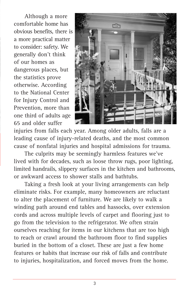Although a more comfortable home has obvious benefits, there is a more practical matter to consider: safety. We generally don't think of our homes as dangerous places, but the statistics prove otherwise. According to the National Center for Injury Control and Prevention, more than one third of adults age 65 and older suffer



injuries from falls each year. Among older adults, falls are a leading cause of injury-related deaths, and the most common cause of nonfatal injuries and hospital admissions for trauma.

The culprits may be seemingly harmless features we've lived with for decades, such as loose throw rugs, poor lighting, limited handrails, slippery surfaces in the kitchen and bathrooms, or awkward access to shower stalls and bathtubs.

Taking a fresh look at your living arrangements can help eliminate risks. For example, many homeowners are reluctant to alter the placement of furniture. We are likely to walk a winding path around end tables and hassocks, over extension cords and across multiple levels of carpet and flooring just to go from the television to the refrigerator. We often strain ourselves reaching for items in our kitchens that are too high to reach or crawl around the bathroom floor to find supplies buried in the bottom of a closet. These are just a few home features or habits that increase our risk of falls and contribute to injuries, hospitalization, and forced moves from the home.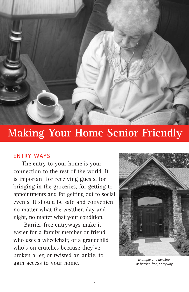

## **Making Your Home Senior Friendly**

#### **ENTRY WAYS**

The entry to your home is your connection to the rest of the world. It is important for receiving guests, for bringing in the groceries, for getting to appointments and for getting out to social events. It should be safe and convenient no matter what the weather, day and night, no matter what your condition.

Barrier-free entryways make it easier for a family member or friend who uses a wheelchair, or a grandchild who's on crutches because they've broken a leg or twisted an ankle, to gain access to your home.



*Example of a no-step, or barrier-free, entryway*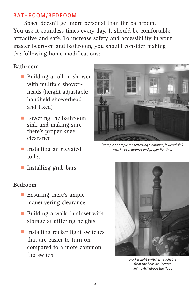#### **BATHROOM/BEDROOM**

Space doesn't get more personal than the bathroom. You use it countless times every day. It should be comfortable, attractive and safe. To increase safety and accessibility in your master bedroom and bathroom, you should consider making the following home modifications:

#### **Bathroom**

- Building a roll-in shower with multiple showerheads (height adjustable handheld showerhead and fixed)
- **ª** Lowering the bathroom sink and making sure there's proper knee clearance
- **ª** Installing an elevated toilet
- **ª** Installing grab bars

#### **Bedroom**

- **ª** Ensuring there's ample maneuvering clearance
- **ª** Building a walk-in closet with storage at differing heights
- **ª** Installing rocker light switches that are easier to turn on compared to a more common flip switch



*Example of ample maneuvering clearance, lowered sink with knee clearance and proper lighting.*



*Rocker light switches reachable from the bedside, located 36" to 40" above the floor.*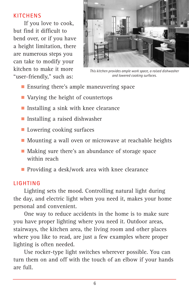#### **KITCHENS**

If you love to cook, but find it difficult to bend over, or if you have a height limitation, there are numerous steps you can take to modify your kitchen to make it more "user-friendly," such as:



*This kitchen provides ample work space, a raised dishwasher and lowered cooking surfaces.*

- Ensuring there's ample maneuvering space
- **ª** Varying the height of countertops
- **ª** Installing a sink with knee clearance
- **ª** Installing a raised dishwasher
- **ª** Lowering cooking surfaces
- **ª** Mounting a wall oven or microwave at reachable heights
- Making sure there's an abundance of storage space within reach
- **ª** Providing a desk/work area with knee clearance

#### **LIGHTING**

Lighting sets the mood. Controlling natural light during the day, and electric light when you need it, makes your home personal and convenient.

One way to reduce accidents in the home is to make sure you have proper lighting where you need it. Outdoor areas, stairways, the kitchen area, the living room and other places where you like to read, are just a few examples where proper lighting is often needed.

Use rocker-type light switches wherever possible. You can turn them on and off with the touch of an elbow if your hands are full.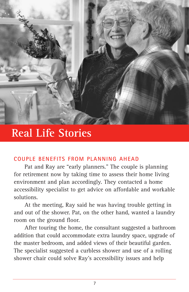

## **Real Life Stories**

#### **COUPLE BENEFITS FROM PLANNING AHEAD**

Pat and Ray are "early planners." The couple is planning for retirement now by taking time to assess their home living environment and plan accordingly. They contacted a home accessibility specialist to get advice on affordable and workable solutions.

At the meeting, Ray said he was having trouble getting in and out of the shower. Pat, on the other hand, wanted a laundry room on the ground floor.

After touring the home, the consultant suggested a bathroom addition that could accommodate extra laundry space, upgrade of the master bedroom, and added views of their beautiful garden. The specialist suggested a curbless shower and use of a rolling shower chair could solve Ray's accessibility issues and help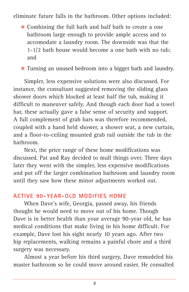eliminate future falls in the bathroom. Other options included:

**ª** Combining the full bath and half bath to create a one bathroom large enough to provide ample access and to accomodate a laundry room. The downside was that the 1-1/2 bath house would become a one bath with no tub; and

**ª** Turning an unused bedroom into a bigger bath and laundry.

Simpler, less expensive solutions were also discussed. For instance, the consultant suggested removing the sliding glass shower doors which blocked at least half the tub, making it difficult to maneuver safely. And though each door had a towel bar, these actually gave a false sense of security and support. A full complement of grab bars was therefore recommended, coupled with a hand held shower, a shower seat, a new curtain, and a floor-to-ceiling mounted grab rail outside the tub in the bathroom.

Next, the price range of these home modifications was discussed. Pat and Ray decided to mull things over. Three days later they went with the simpler, less expensive modifications and put off the larger combination bathroom and laundry room until they saw how these minor adjustments worked out.

#### **ACTIVE 90-YEAR-OLD MODIFIES HOME**

When Dave's wife, Georgia, passed away, his friends thought he would need to move out of his home. Though Dave is in better health than your average 90-year old, he has medical conditions that make living in his home difficult. For example, Dave lost his sight nearly 10 years ago. After two hip replacements, walking remains a painful chore and a third surgery was necessary.

Almost a year before his third surgery, Dave remodeled his master bathroom so he could move around easier. He consulted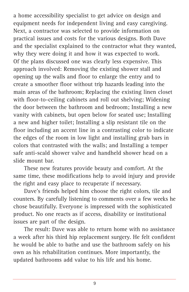a home accessibility specialist to get advice on design and equipment needs for independent living and easy caregiving. Next, a contractor was selected to provide information on practical issues and costs for the various designs. Both Dave and the specialist explained to the contractor what they wanted, why they were doing it and how it was expected to work. Of the plans discussed one was clearly less expensive. This approach involved: Removing the existing shower stall and opening up the walls and floor to enlarge the entry and to create a smoother floor without trip hazards leading into the main areas of the bathroom; Replacing the existing linen closet with floor-to-ceiling cabinets and roll out shelving; Widening the door between the bathroom and bedroom; Installing a new vanity with cabinets, but open below for seated use; Installing a new and higher toilet; Installing a slip resistant tile on the floor including an accent line in a contrasting color to indicate the edges of the room in low light and installing grab bars in colors that contrasted with the walls; and Installing a temper safe anti-scald shower valve and handheld shower head on a slide mount bar.

These new features provide beauty and comfort. At the same time, these modifications help to avoid injury and provide the right and easy place to recuperate if necessary.

Dave's friends helped him choose the right colors, tile and counters. By carefully listening to comments over a few weeks he chose beautifully. Everyone is impressed with the sophisticated product. No one reacts as if access, disability or institutional issues are part of the design.

The result: Dave was able to return home with no assistance a week after his third hip replacement surgery. He felt confident he would be able to bathe and use the bathroom safely on his own as his rehabilitation continues. More importantly, the updated bathrooms add value to his life and his home.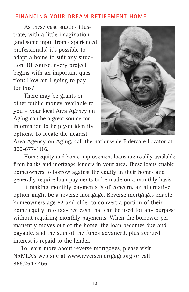#### **FINANCING YOUR DREAM RETIREMENT HOME**

As these case studies illustrate, with a little imagination (and some input from experienced professionals) it's possible to adapt a home to suit any situation. Of course, every project begins with an important question: How am I going to pay for this?

There may be grants or other public money available to you – your local Area Agency on Aging can be a great source for information to help you identify options. To locate the nearest



Area Agency on Aging, call the nationwide Eldercare Locator at 800-677-1116.

Home equity and home improvement loans are readily available from banks and mortgage lenders in your area. These loans enable homeowners to borrow against the equity in their homes and generally require loan payments to be made on a monthly basis.

If making monthly payments is of concern, an alternative option might be a reverse mortgage. Reverse mortgages enable homeowners age 62 and older to convert a portion of their home equity into tax-free cash that can be used for any purpose without requiring monthly payments. When the borrower permanently moves out of the home, the loan becomes due and payable, and the sum of the funds advanced, plus accrued interest is repaid to the lender.

To learn more about reverse mortgages, please visit NRMLA's web site at www.reversemortgage.org or call 866.264.4466.